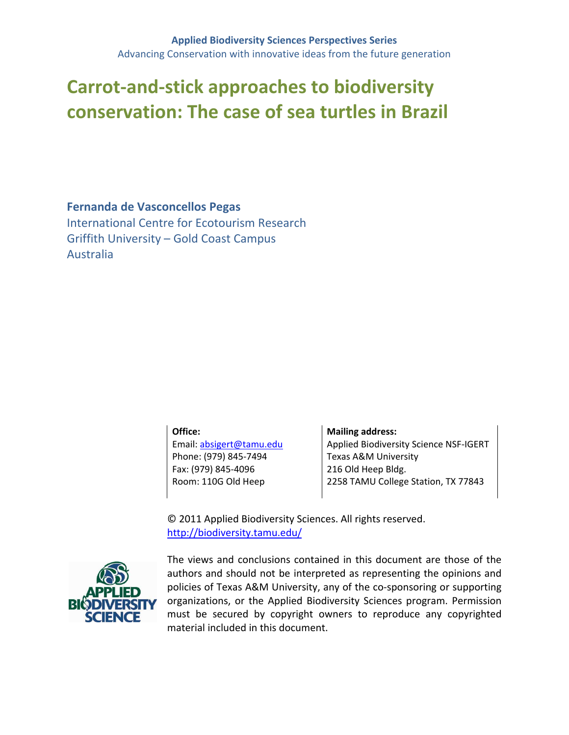# **Carrot‐and‐stick approaches to biodiversity conservation: The case of sea turtles in Brazil**

**Fernanda de Vasconcellos Pegas**

International Centre for Ecotourism Research Griffith University – Gold Coast Campus Australia

**Office:**

Email: absigert@tamu.edu Phone: (979) 845‐7494 Fax: (979) 845‐4096 Room: 110G Old Heep

**Mailing address:** Applied Biodiversity Science NSF‐IGERT Texas A&M University 216 Old Heep Bldg. 2258 TAMU College Station, TX 77843

© 2011 Applied Biodiversity Sciences. All rights reserved. http://biodiversity.tamu.edu/



The views and conclusions contained in this document are those of the authors and should not be interpreted as representing the opinions and policies of Texas A&M University, any of the co-sponsoring or supporting organizations, or the Applied Biodiversity Sciences program. Permission must be secured by copyright owners to reproduce any copyrighted material included in this document.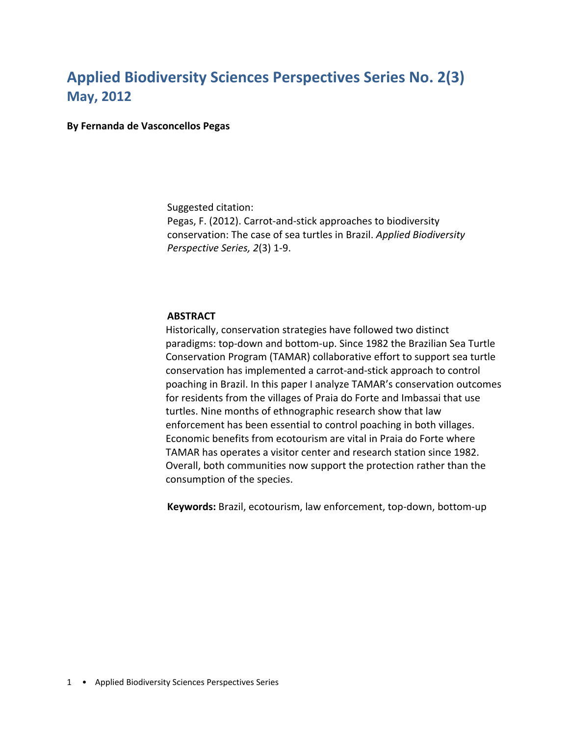## **Applied Biodiversity Sciences Perspectives Series No. 2(3) May, 2012**

**By Fernanda de Vasconcellos Pegas**

Suggested citation:

Pegas, F. (2012). Carrot‐and‐stick approaches to biodiversity conservation: The case of sea turtles in Brazil. *Applied Biodiversity Perspective Series, 2*(3) 1‐9.

#### **ABSTRACT**

Historically, conservation strategies have followed two distinct paradigms: top‐down and bottom‐up. Since 1982 the Brazilian Sea Turtle Conservation Program (TAMAR) collaborative effort to support sea turtle conservation has implemented a carrot‐and‐stick approach to control poaching in Brazil. In this paper I analyze TAMAR's conservation outcomes for residents from the villages of Praia do Forte and Imbassai that use turtles. Nine months of ethnographic research show that law enforcement has been essential to control poaching in both villages. Economic benefits from ecotourism are vital in Praia do Forte where TAMAR has operates a visitor center and research station since 1982. Overall, both communities now support the protection rather than the consumption of the species.

**Keywords:** Brazil, ecotourism, law enforcement, top‐down, bottom‐up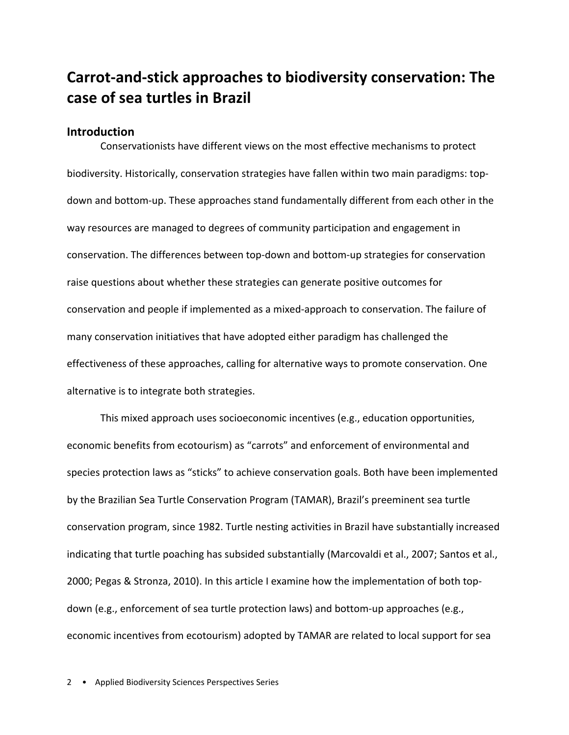## **Carrot‐and‐stick approaches to biodiversity conservation: The case of sea turtles in Brazil**

#### **Introduction**

Conservationists have different views on the most effective mechanisms to protect biodiversity. Historically, conservation strategies have fallen within two main paradigms: topdown and bottom‐up. These approaches stand fundamentally different from each other in the way resources are managed to degrees of community participation and engagement in conservation. The differences between top‐down and bottom‐up strategies for conservation raise questions about whether these strategies can generate positive outcomes for conservation and people if implemented as a mixed‐approach to conservation. The failure of many conservation initiatives that have adopted either paradigm has challenged the effectiveness of these approaches, calling for alternative ways to promote conservation. One alternative is to integrate both strategies.

This mixed approach uses socioeconomic incentives (e.g., education opportunities, economic benefits from ecotourism) as "carrots" and enforcement of environmental and species protection laws as "sticks" to achieve conservation goals. Both have been implemented by the Brazilian Sea Turtle Conservation Program (TAMAR), Brazil's preeminent sea turtle conservation program, since 1982. Turtle nesting activities in Brazil have substantially increased indicating that turtle poaching has subsided substantially (Marcovaldi et al., 2007; Santos et al., 2000; Pegas & Stronza, 2010). In this article I examine how the implementation of both top‐ down (e.g., enforcement of sea turtle protection laws) and bottom‐up approaches (e.g., economic incentives from ecotourism) adopted by TAMAR are related to local support for sea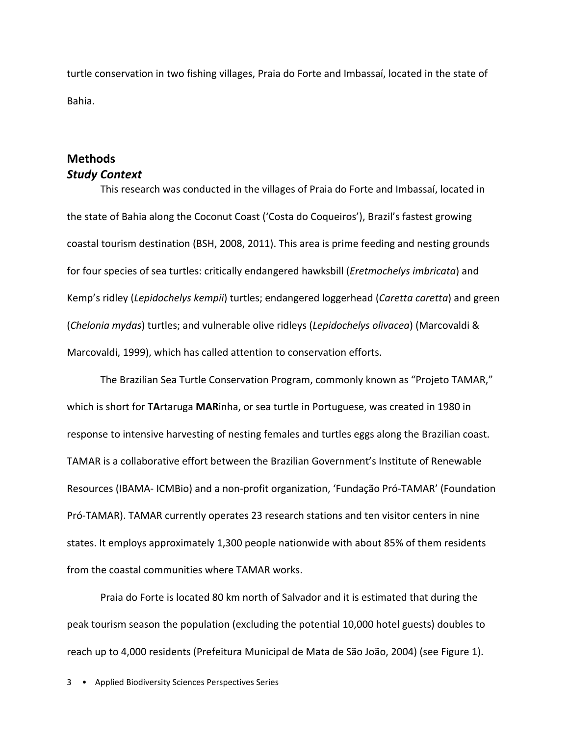turtle conservation in two fishing villages, Praia do Forte and Imbassaí, located in the state of Bahia.

### **Methods** *Study Context*

This research was conducted in the villages of Praia do Forte and Imbassaí, located in the state of Bahia along the Coconut Coast ('Costa do Coqueiros'), Brazil's fastest growing coastal tourism destination (BSH, 2008, 2011). This area is prime feeding and nesting grounds for four species of sea turtles: critically endangered hawksbill (*Eretmochelys imbricata*) and Kemp's ridley (*Lepidochelys kempii*) turtles; endangered loggerhead (*Caretta caretta*) and green (*Chelonia mydas*) turtles; and vulnerable olive ridleys (*Lepidochelys olivacea*) (Marcovaldi & Marcovaldi, 1999), which has called attention to conservation efforts.

The Brazilian Sea Turtle Conservation Program, commonly known as "Projeto TAMAR," which is short for **TA**rtaruga **MAR**inha, or sea turtle in Portuguese, was created in 1980 in response to intensive harvesting of nesting females and turtles eggs along the Brazilian coast. TAMAR is a collaborative effort between the Brazilian Government's Institute of Renewable Resources (IBAMA‐ ICMBio) and a non‐profit organization, 'Fundação Pró‐TAMAR' (Foundation Pró‐TAMAR). TAMAR currently operates 23 research stations and ten visitor centers in nine states. It employs approximately 1,300 people nationwide with about 85% of them residents from the coastal communities where TAMAR works.

Praia do Forte is located 80 km north of Salvador and it is estimated that during the peak tourism season the population (excluding the potential 10,000 hotel guests) doubles to reach up to 4,000 residents (Prefeitura Municipal de Mata de São João, 2004) (see Figure 1).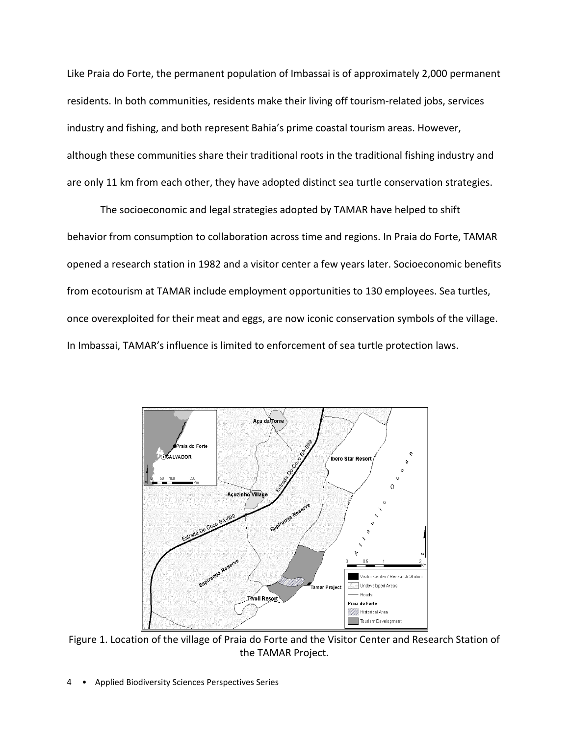Like Praia do Forte, the permanent population of Imbassai is of approximately 2,000 permanent residents. In both communities, residents make their living off tourism-related jobs, services industry and fishing, and both represent Bahia's prime coastal tourism areas. However, although these communities share their traditional roots in the traditional fishing industry and are only 11 km from each other, they have adopted distinct sea turtle conservation strategies.

The socioeconomic and legal strategies adopted by TAMAR have helped to shift behavior from consumption to collaboration across time and regions. In Praia do Forte, TAMAR opened a research station in 1982 and a visitor center a few years later. Socioeconomic benefits from ecotourism at TAMAR include employment opportunities to 130 employees. Sea turtles, once overexploited for their meat and eggs, are now iconic conservation symbols of the village. In Imbassai, TAMAR's influence is limited to enforcement of sea turtle protection laws.



Figure 1. Location of the village of Praia do Forte and the Visitor Center and Research Station of the TAMAR Project.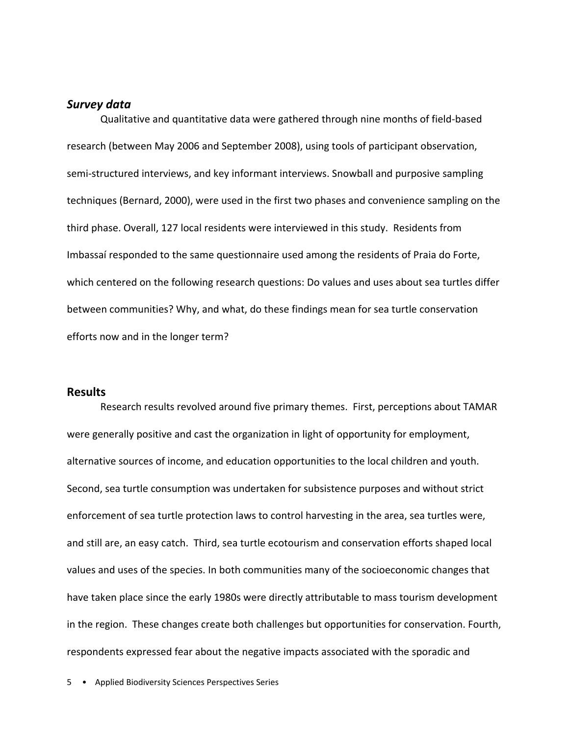#### *Survey data*

Qualitative and quantitative data were gathered through nine months of field‐based research (between May 2006 and September 2008), using tools of participant observation, semi-structured interviews, and key informant interviews. Snowball and purposive sampling techniques (Bernard, 2000), were used in the first two phases and convenience sampling on the third phase. Overall, 127 local residents were interviewed in this study. Residents from Imbassaí responded to the same questionnaire used among the residents of Praia do Forte, which centered on the following research questions: Do values and uses about sea turtles differ between communities? Why, and what, do these findings mean for sea turtle conservation efforts now and in the longer term?

#### **Results**

Research results revolved around five primary themes. First, perceptions about TAMAR were generally positive and cast the organization in light of opportunity for employment, alternative sources of income, and education opportunities to the local children and youth. Second, sea turtle consumption was undertaken for subsistence purposes and without strict enforcement of sea turtle protection laws to control harvesting in the area, sea turtles were, and still are, an easy catch. Third, sea turtle ecotourism and conservation efforts shaped local values and uses of the species. In both communities many of the socioeconomic changes that have taken place since the early 1980s were directly attributable to mass tourism development in the region. These changes create both challenges but opportunities for conservation. Fourth, respondents expressed fear about the negative impacts associated with the sporadic and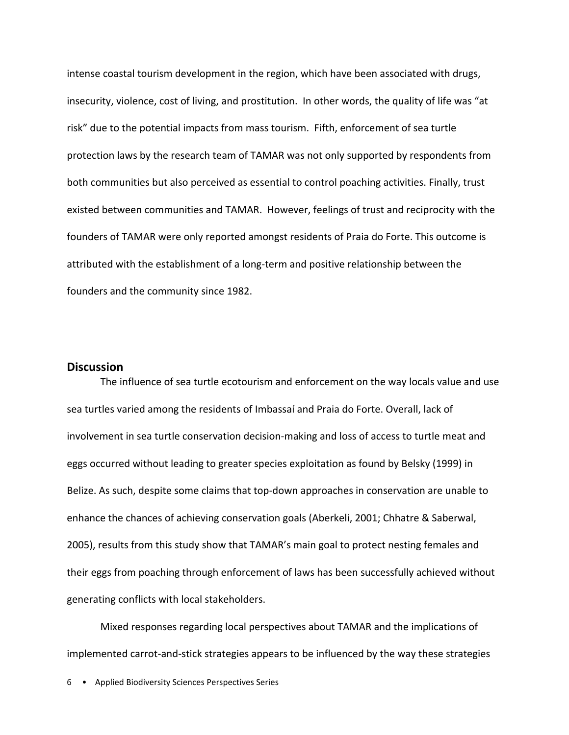intense coastal tourism development in the region, which have been associated with drugs, insecurity, violence, cost of living, and prostitution. In other words, the quality of life was "at risk" due to the potential impacts from mass tourism. Fifth, enforcement of sea turtle protection laws by the research team of TAMAR was not only supported by respondents from both communities but also perceived as essential to control poaching activities. Finally, trust existed between communities and TAMAR. However, feelings of trust and reciprocity with the founders of TAMAR were only reported amongst residents of Praia do Forte. This outcome is attributed with the establishment of a long‐term and positive relationship between the founders and the community since 1982.

#### **Discussion**

The influence of sea turtle ecotourism and enforcement on the way locals value and use sea turtles varied among the residents of Imbassaí and Praia do Forte. Overall, lack of involvement in sea turtle conservation decision‐making and loss of access to turtle meat and eggs occurred without leading to greater species exploitation as found by Belsky (1999) in Belize. As such, despite some claims that top-down approaches in conservation are unable to enhance the chances of achieving conservation goals (Aberkeli, 2001; Chhatre & Saberwal, 2005), results from this study show that TAMAR's main goal to protect nesting females and their eggs from poaching through enforcement of laws has been successfully achieved without generating conflicts with local stakeholders.

Mixed responses regarding local perspectives about TAMAR and the implications of implemented carrot‐and‐stick strategies appears to be influenced by the way these strategies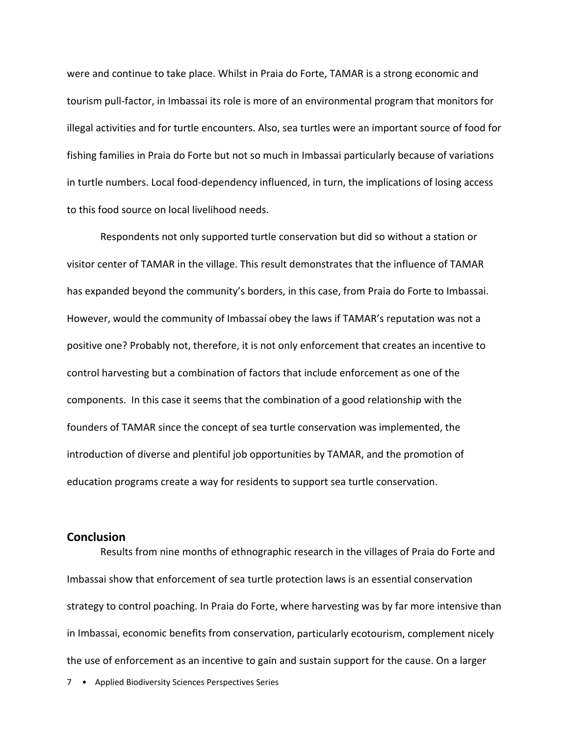were and continue to take place. Whilst in Praia do Forte, TAMAR is a strong economic and tourism pull‐factor, in Imbassai its role is more of an environmental program that monitors for illegal activities and for turtle encounters. Also, sea turtles were an important source of food for fishing families in Praia do Forte but not so much in Imbassai particularly because of variations in turtle numbers. Local food‐dependency influenced, in turn, the implications of losing access to this food source on local livelihood needs.

Respondents not only supported turtle conservation but did so without a station or visitor center of TAMAR in the village. This result demonstrates that the influence of TAMAR has expanded beyond the community's borders, in this case, from Praia do Forte to Imbassai. However, would the community of Imbassaí obey the laws if TAMAR's reputation was not a positive one? Probably not, therefore, it is not only enforcement that creates an incentive to control harvesting but a combination of factors that include enforcement as one of the components. In this case it seems that the combination of a good relationship with the founders of TAMAR since the concept of sea turtle conservation was implemented, the introduction of diverse and plentiful job opportunities by TAMAR, and the promotion of education programs create a way for residents to support sea turtle conservation.

#### **Conclusion**

Results from nine months of ethnographic research in the villages of Praia do Forte and Imbassai show that enforcement of sea turtle protection laws is an essential conservation strategy to control poaching. In Praia do Forte, where harvesting was by far more intensive than in Imbassai, economic benefits from conservation, particularly ecotourism, complement nicely the use of enforcement as an incentive to gain and sustain support for the cause. On a larger

7 . Applied Biodiversity Sciences Perspectives Series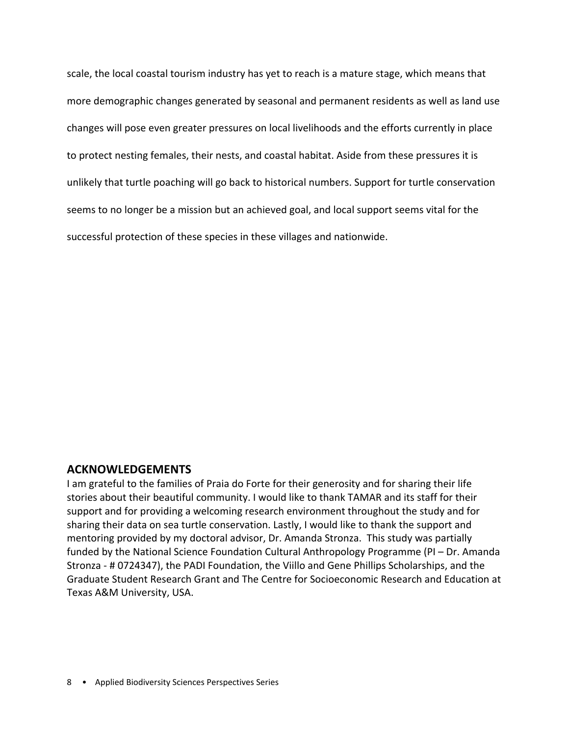scale, the local coastal tourism industry has yet to reach is a mature stage, which means that more demographic changes generated by seasonal and permanent residents as well as land use changes will pose even greater pressures on local livelihoods and the efforts currently in place to protect nesting females, their nests, and coastal habitat. Aside from these pressures it is unlikely that turtle poaching will go back to historical numbers. Support for turtle conservation seems to no longer be a mission but an achieved goal, and local support seems vital for the successful protection of these species in these villages and nationwide.

#### **ACKNOWLEDGEMENTS**

I am grateful to the families of Praia do Forte for their generosity and for sharing their life stories about their beautiful community. I would like to thank TAMAR and its staff for their support and for providing a welcoming research environment throughout the study and for sharing their data on sea turtle conservation. Lastly, I would like to thank the support and mentoring provided by my doctoral advisor, Dr. Amanda Stronza. This study was partially funded by the National Science Foundation Cultural Anthropology Programme (PI – Dr. Amanda Stronza ‐ # 0724347), the PADI Foundation, the Viillo and Gene Phillips Scholarships, and the Graduate Student Research Grant and The Centre for Socioeconomic Research and Education at Texas A&M University, USA.